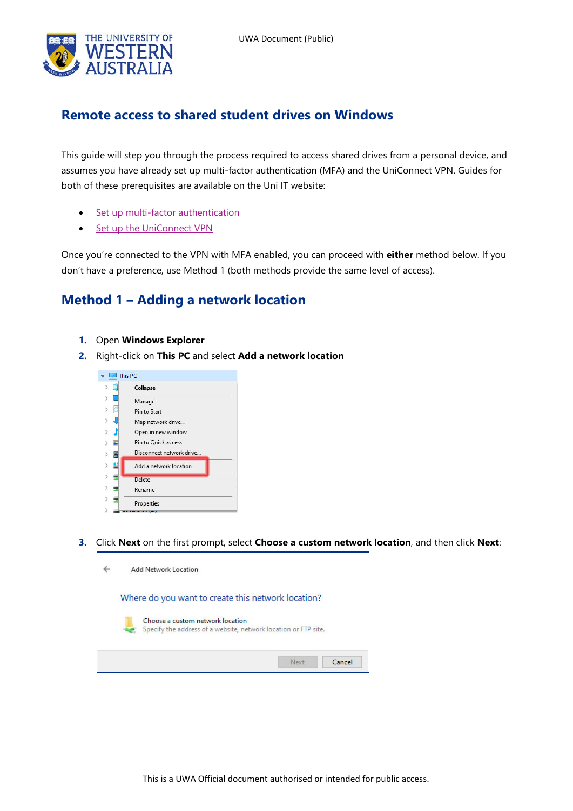

## **Remote access to shared student drives on Windows**

This guide will step you through the process required to access shared drives from a personal device, and assumes you have already set up multi-factor authentication (MFA) and the UniConnect VPN. Guides for both of these prerequisites are available on the Uni IT website:

- [Set up multi-factor authentication](https://www.it.uwa.edu.au/it-help/staff-all/mfa)
- [Set up the UniConnect VPN](https://www.it.uwa.edu.au/it-help/access/uniconnect)

Once you're connected to the VPN with MFA enabled, you can proceed with **either** method below. If you don't have a preference, use Method 1 (both methods provide the same level of access).

## **Method 1 – Adding a network location**

- **1.** Open **Windows Explorer**
- **2.** Right-click on **This PC** and select **Add a network location**



**3.** Click **Next** on the first prompt, select **Choose a custom network location**, and then click **Next**:

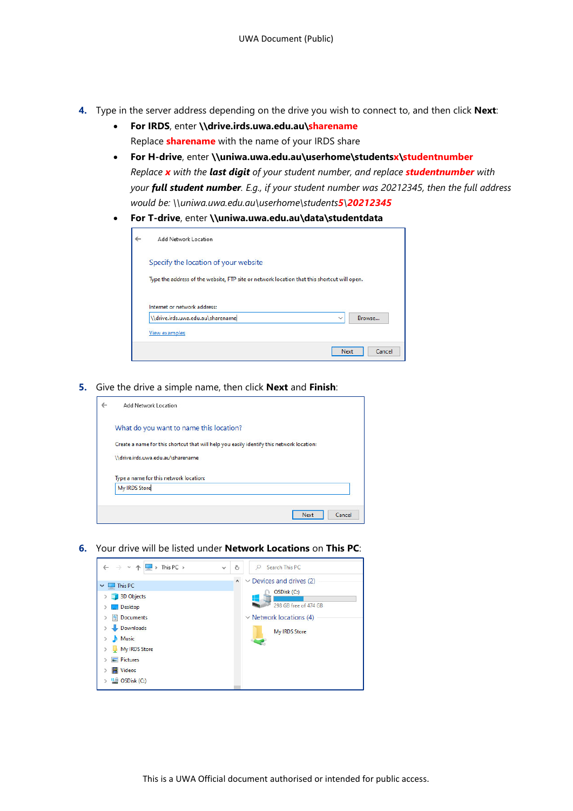- **4.** Type in the server address depending on the drive you wish to connect to, and then click **Next**:
	- **For IRDS**, enter **\\drive.irds.uwa.edu.au\sharename** Replace **sharename** with the name of your IRDS share
	- **For H-drive**, enter **\\uniwa.uwa.edu.au\userhome\studentsx\studentnumber** *Replace x with the last digit of your student number, and replace studentnumber with your full student number. E.g., if your student number was 20212345, then the full address would be: \\uniwa.uwa.edu.au\userhome\students5\20212345*
	- **For T-drive**, enter **\\uniwa.uwa.edu.au\data\studentdata**

| $\leftarrow$ | Add Network Location                                                                        |
|--------------|---------------------------------------------------------------------------------------------|
|              | Specify the location of your website                                                        |
|              | Type the address of the website, FTP site or network location that this shortcut will open. |
|              | Internet or network address:                                                                |
|              | \\drive.irds.uwa.edu.au\sharename<br>Browse<br>$\checkmark$                                 |
|              | View examples                                                                               |
|              | <b>Next</b><br>Cancel                                                                       |

**5.** Give the drive a simple name, then click **Next** and **Finish**:

| $\leftarrow$ | Add Network Location                                                                      |
|--------------|-------------------------------------------------------------------------------------------|
|              | What do you want to name this location?                                                   |
|              | Create a name for this shortcut that will help you easily identify this network location: |
|              | \\drive.irds.uwa.edu.au\sharename                                                         |
|              | Type a name for this network location:                                                    |
|              | My IRDS Store                                                                             |
|              |                                                                                           |
|              | Cancel<br>Next                                                                            |

**6.** Your drive will be listed under **Network Locations** on **This PC**:

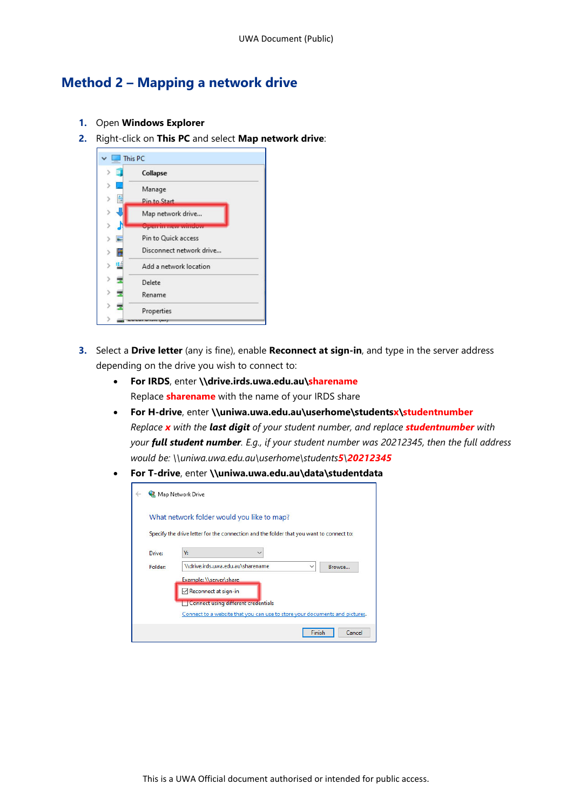## **Method 2 – Mapping a network drive**

- **1.** Open **Windows Explorer**
- **2.** Right-click on **This PC** and select **Map network drive**:



- **3.** Select a **Drive letter** (any is fine), enable **Reconnect at sign-in**, and type in the server address depending on the drive you wish to connect to:
	- **For IRDS**, enter **\\drive.irds.uwa.edu.au\sharename** Replace **sharename** with the name of your IRDS share
	- **For H-drive**, enter **\\uniwa.uwa.edu.au\userhome\studentsx\studentnumber** *Replace x with the last digit of your student number, and replace studentnumber with your full student number. E.g., if your student number was 20212345, then the full address would be: \\uniwa.uwa.edu.au\userhome\students5\20212345*
	- **For T-drive**, enter **\\uniwa.uwa.edu.au\data\studentdata**

|                   | Map Network Drive                                                                                                                     |  |  |  |
|-------------------|---------------------------------------------------------------------------------------------------------------------------------------|--|--|--|
|                   | What network folder would you like to map?<br>Specify the drive letter for the connection and the folder that you want to connect to: |  |  |  |
| Drive:<br>Folder: | γ.<br>\\drive.irds.uwa.edu.au\sharename<br>Browse<br>$\checkmark$                                                                     |  |  |  |
|                   | Example: \\server\share<br>Reconnect at sign-in<br><b>Connect using different credentials</b>                                         |  |  |  |
|                   | Connect to a website that you can use to store your documents and pictures.                                                           |  |  |  |
|                   | Finish<br>Cancel                                                                                                                      |  |  |  |